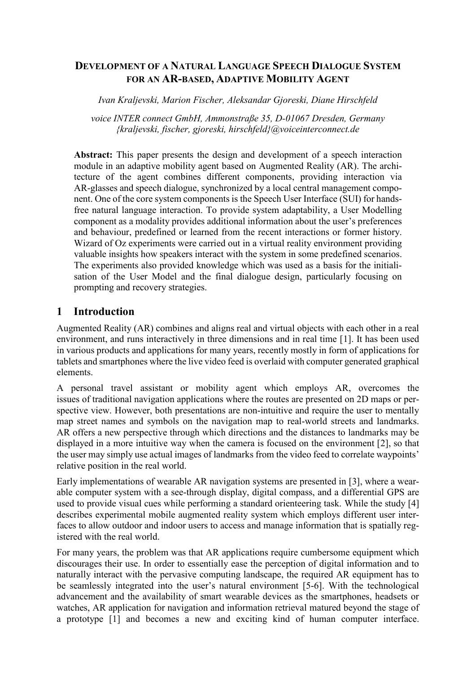#### **DEVELOPMENT OF A NATURAL LANGUAGE SPEECH DIALOGUE SYSTEM FOR AN AR-BASED, ADAPTIVE MOBILITY AGENT**

*Ivan Kraljevski, Marion Fischer, Aleksandar Gjoreski, Diane Hirschfeld*

*voice INTER connect GmbH, Ammonstraße 35, D-01067 Dresden, Germany {kraljevski, fischer, gjoreski, hirschfeld}@voiceinterconnect.de*

**Abstract:** This paper presents the design and development of a speech interaction module in an adaptive mobility agent based on Augmented Reality (AR). The architecture of the agent combines different components, providing interaction via AR-glasses and speech dialogue, synchronized by a local central management component. One of the core system components is the Speech User Interface (SUI) for handsfree natural language interaction. To provide system adaptability, a User Modelling component as a modality provides additional information about the user's preferences and behaviour, predefined or learned from the recent interactions or former history. Wizard of Oz experiments were carried out in a virtual reality environment providing valuable insights how speakers interact with the system in some predefined scenarios. The experiments also provided knowledge which was used as a basis for the initialisation of the User Model and the final dialogue design, particularly focusing on prompting and recovery strategies.

### **1 Introduction**

Augmented Reality (AR) combines and aligns real and virtual objects with each other in a real environment, and runs interactively in three dimensions and in real time [1]. It has been used in various products and applications for many years, recently mostly in form of applications for tablets and smartphones where the live video feed is overlaid with computer generated graphical elements.

A personal travel assistant or mobility agent which employs AR, overcomes the issues of traditional navigation applications where the routes are presented on 2D maps or perspective view. However, both presentations are non-intuitive and require the user to mentally map street names and symbols on the navigation map to real-world streets and landmarks. AR offers a new perspective through which directions and the distances to landmarks may be displayed in a more intuitive way when the camera is focused on the environment [2], so that the user may simply use actual images of landmarks from the video feed to correlate waypoints' relative position in the real world.

Early implementations of wearable AR navigation systems are presented in [3], where a wearable computer system with a see-through display, digital compass, and a differential GPS are used to provide visual cues while performing a standard orienteering task. While the study [4] describes experimental mobile augmented reality system which employs different user interfaces to allow outdoor and indoor users to access and manage information that is spatially registered with the real world.

For many years, the problem was that AR applications require cumbersome equipment which discourages their use. In order to essentially ease the perception of digital information and to naturally interact with the pervasive computing landscape, the required AR equipment has to be seamlessly integrated into the user's natural environment [5-6]. With the technological advancement and the availability of smart wearable devices as the smartphones, headsets or watches, AR application for navigation and information retrieval matured beyond the stage of a prototype [1] and becomes a new and exciting kind of human computer interface.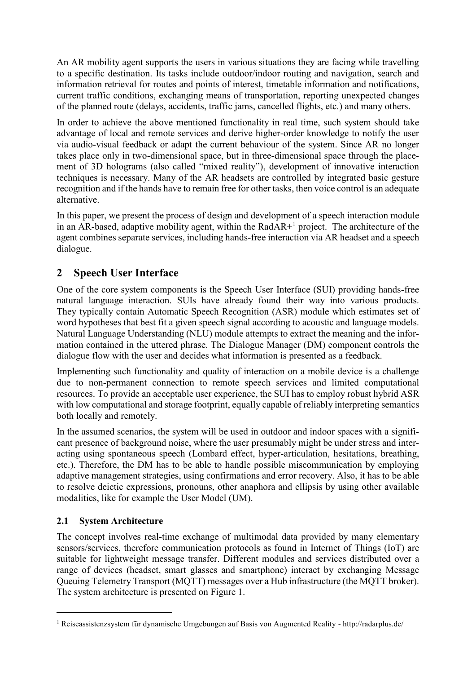An AR mobility agent supports the users in various situations they are facing while travelling to a specific destination. Its tasks include outdoor/indoor routing and navigation, search and information retrieval for routes and points of interest, timetable information and notifications, current traffic conditions, exchanging means of transportation, reporting unexpected changes of the planned route (delays, accidents, traffic jams, cancelled flights, etc.) and many others.

In order to achieve the above mentioned functionality in real time, such system should take advantage of local and remote services and derive higher-order knowledge to notify the user via audio-visual feedback or adapt the current behaviour of the system. Since AR no longer takes place only in two-dimensional space, but in three-dimensional space through the placement of 3D holograms (also called "mixed reality"), development of innovative interaction techniques is necessary. Many of the AR headsets are controlled by integrated basic gesture recognition and if the hands have to remain free for other tasks, then voice control is an adequate alternative.

In this paper, we present the process of design and development of a speech interaction module in an AR-based, adaptive mobility agent, within the RadAR $+$ <sup>1</sup> project. The architecture of the agent combines separate services, including hands-free interaction via AR headset and a speech dialogue.

# **2 Speech User Interface**

One of the core system components is the Speech User Interface (SUI) providing hands-free natural language interaction. SUIs have already found their way into various products. They typically contain Automatic Speech Recognition (ASR) module which estimates set of word hypotheses that best fit a given speech signal according to acoustic and language models. Natural Language Understanding (NLU) module attempts to extract the meaning and the information contained in the uttered phrase. The Dialogue Manager (DM) component controls the dialogue flow with the user and decides what information is presented as a feedback.

Implementing such functionality and quality of interaction on a mobile device is a challenge due to non-permanent connection to remote speech services and limited computational resources. To provide an acceptable user experience, the SUI has to employ robust hybrid ASR with low computational and storage footprint, equally capable of reliably interpreting semantics both locally and remotely.

In the assumed scenarios, the system will be used in outdoor and indoor spaces with a significant presence of background noise, where the user presumably might be under stress and interacting using spontaneous speech (Lombard effect, hyper-articulation, hesitations, breathing, etc.). Therefore, the DM has to be able to handle possible miscommunication by employing adaptive management strategies, using confirmations and error recovery. Also, it has to be able to resolve deictic expressions, pronouns, other anaphora and ellipsis by using other available modalities, like for example the User Model (UM).

#### **2.1 System Architecture**

 $\overline{a}$ 

The concept involves real-time exchange of multimodal data provided by many elementary sensors/services, therefore communication protocols as found in Internet of Things (IoT) are suitable for lightweight message transfer. Different modules and services distributed over a range of devices (headset, smart glasses and smartphone) interact by exchanging Message Queuing Telemetry Transport (MQTT) messages over a Hub infrastructure (the MQTT broker). The system architecture is presented on Figure 1.

<sup>1</sup> Reiseassistenzsystem für dynamische Umgebungen auf Basis von Augmented Reality - http://radarplus.de/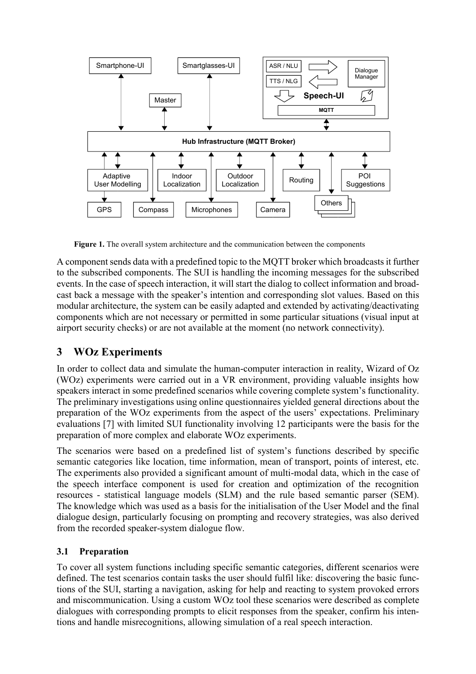

**Figure 1.** The overall system architecture and the communication between the components

A component sends data with a predefined topic to the MQTT broker which broadcasts it further to the subscribed components. The SUI is handling the incoming messages for the subscribed events. In the case of speech interaction, it will start the dialog to collect information and broadcast back a message with the speaker's intention and corresponding slot values. Based on this modular architecture, the system can be easily adapted and extended by activating/deactivating components which are not necessary or permitted in some particular situations (visual input at airport security checks) or are not available at the moment (no network connectivity).

# **3 WOz Experiments**

In order to collect data and simulate the human-computer interaction in reality, Wizard of Oz (WOz) experiments were carried out in a VR environment, providing valuable insights how speakers interact in some predefined scenarios while covering complete system's functionality. The preliminary investigations using online questionnaires yielded general directions about the preparation of the WOz experiments from the aspect of the users' expectations. Preliminary evaluations [7] with limited SUI functionality involving 12 participants were the basis for the preparation of more complex and elaborate WOz experiments.

The scenarios were based on a predefined list of system's functions described by specific semantic categories like location, time information, mean of transport, points of interest, etc. The experiments also provided a significant amount of multi-modal data, which in the case of the speech interface component is used for creation and optimization of the recognition resources - statistical language models (SLM) and the rule based semantic parser (SEM). The knowledge which was used as a basis for the initialisation of the User Model and the final dialogue design, particularly focusing on prompting and recovery strategies, was also derived from the recorded speaker-system dialogue flow.

#### **3.1 Preparation**

To cover all system functions including specific semantic categories, different scenarios were defined. The test scenarios contain tasks the user should fulfil like: discovering the basic functions of the SUI, starting a navigation, asking for help and reacting to system provoked errors and miscommunication. Using a custom WOz tool these scenarios were described as complete dialogues with corresponding prompts to elicit responses from the speaker, confirm his intentions and handle misrecognitions, allowing simulation of a real speech interaction.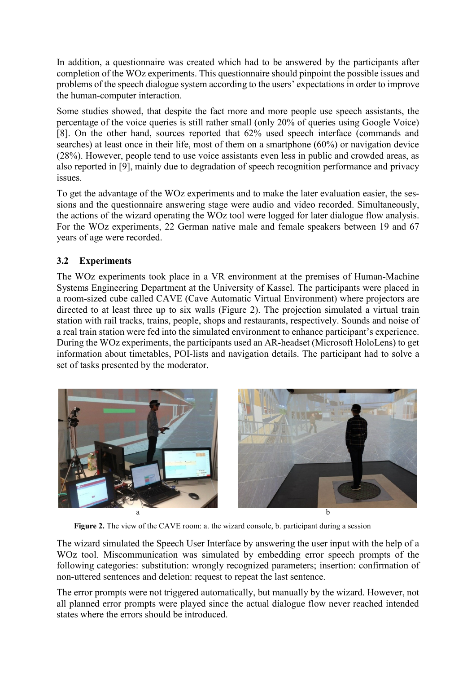In addition, a questionnaire was created which had to be answered by the participants after completion of the WOz experiments. This questionnaire should pinpoint the possible issues and problems of the speech dialogue system according to the users' expectations in order to improve the human-computer interaction.

Some studies showed, that despite the fact more and more people use speech assistants, the percentage of the voice queries is still rather small (only 20% of queries using Google Voice) [8]. On the other hand, sources reported that 62% used speech interface (commands and searches) at least once in their life, most of them on a smartphone (60%) or navigation device (28%). However, people tend to use voice assistants even less in public and crowded areas, as also reported in [9], mainly due to degradation of speech recognition performance and privacy issues.

To get the advantage of the WOz experiments and to make the later evaluation easier, the sessions and the questionnaire answering stage were audio and video recorded. Simultaneously, the actions of the wizard operating the WOz tool were logged for later dialogue flow analysis. For the WOz experiments, 22 German native male and female speakers between 19 and 67 years of age were recorded.

#### **3.2 Experiments**

The WOz experiments took place in a VR environment at the premises of Human-Machine Systems Engineering Department at the University of Kassel. The participants were placed in a room-sized cube called CAVE (Cave Automatic Virtual Environment) where projectors are directed to at least three up to six walls (Figure 2). The projection simulated a virtual train station with rail tracks, trains, people, shops and restaurants, respectively. Sounds and noise of a real train station were fed into the simulated environment to enhance participant's experience. During the WOz experiments, the participants used an AR-headset (Microsoft HoloLens) to get information about timetables, POI-lists and navigation details. The participant had to solve a set of tasks presented by the moderator.



Figure 2. The view of the CAVE room: a. the wizard console, b. participant during a session

The wizard simulated the Speech User Interface by answering the user input with the help of a WOz tool. Miscommunication was simulated by embedding error speech prompts of the following categories: substitution: wrongly recognized parameters; insertion: confirmation of non-uttered sentences and deletion: request to repeat the last sentence.

The error prompts were not triggered automatically, but manually by the wizard. However, not all planned error prompts were played since the actual dialogue flow never reached intended states where the errors should be introduced.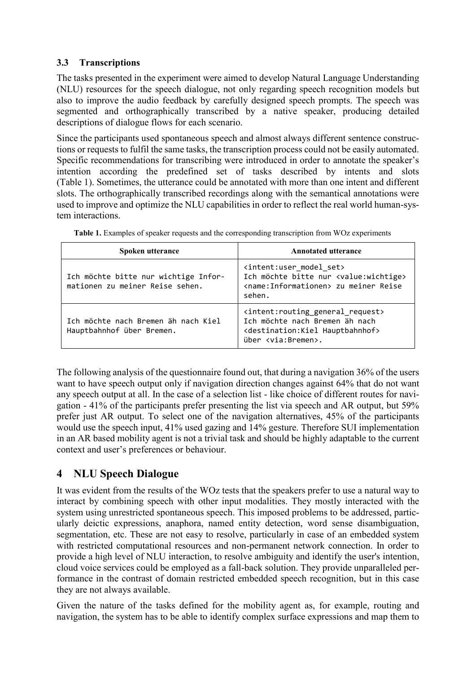#### **3.3 Transcriptions**

The tasks presented in the experiment were aimed to develop Natural Language Understanding (NLU) resources for the speech dialogue, not only regarding speech recognition models but also to improve the audio feedback by carefully designed speech prompts. The speech was segmented and orthographically transcribed by a native speaker, producing detailed descriptions of dialogue flows for each scenario.

Since the participants used spontaneous speech and almost always different sentence constructions or requests to fulfil the same tasks, the transcription process could not be easily automated. Specific recommendations for transcribing were introduced in order to annotate the speaker's intention according the predefined set of tasks described by intents and slots (Table 1). Sometimes, the utterance could be annotated with more than one intent and different slots. The orthographically transcribed recordings along with the semantical annotations were used to improve and optimize the NLU capabilities in order to reflect the real world human-system interactions.

| Spoken utterance                                                        | <b>Annotated utterance</b>                                                                                                                                                            |  |  |  |
|-------------------------------------------------------------------------|---------------------------------------------------------------------------------------------------------------------------------------------------------------------------------------|--|--|--|
| Ich möchte bitte nur wichtige Infor-<br>mationen zu meiner Reise sehen. | <intent:user model="" set=""><br/>Ich möchte bitte nur <value:wichtige><br/><name:informationen> zu meiner Reise<br/>sehen.</name:informationen></value:wichtige></intent:user>       |  |  |  |
| Ich möchte nach Bremen äh nach Kiel<br>Hauptbahnhof über Bremen.        | <intent: general="" request="" routing=""><br/>Ich möchte nach Bremen äh nach<br/><destination: hauptbahnhof="" kiel=""><br/>über <via:bremen>.</via:bremen></destination:></intent:> |  |  |  |

|  |  |  |  | Table 1. Examples of speaker requests and the corresponding transcription from WOz experiments |
|--|--|--|--|------------------------------------------------------------------------------------------------|
|  |  |  |  |                                                                                                |

The following analysis of the questionnaire found out, that during a navigation 36% of the users want to have speech output only if navigation direction changes against 64% that do not want any speech output at all. In the case of a selection list - like choice of different routes for navigation - 41% of the participants prefer presenting the list via speech and AR output, but 59% prefer just AR output. To select one of the navigation alternatives, 45% of the participants would use the speech input, 41% used gazing and 14% gesture. Therefore SUI implementation in an AR based mobility agent is not a trivial task and should be highly adaptable to the current context and user's preferences or behaviour.

# **4 NLU Speech Dialogue**

It was evident from the results of the WOz tests that the speakers prefer to use a natural way to interact by combining speech with other input modalities. They mostly interacted with the system using unrestricted spontaneous speech. This imposed problems to be addressed, particularly deictic expressions, anaphora, named entity detection, word sense disambiguation, segmentation, etc. These are not easy to resolve, particularly in case of an embedded system with restricted computational resources and non-permanent network connection. In order to provide a high level of NLU interaction, to resolve ambiguity and identify the user's intention, cloud voice services could be employed as a fall-back solution. They provide unparalleled performance in the contrast of domain restricted embedded speech recognition, but in this case they are not always available.

Given the nature of the tasks defined for the mobility agent as, for example, routing and navigation, the system has to be able to identify complex surface expressions and map them to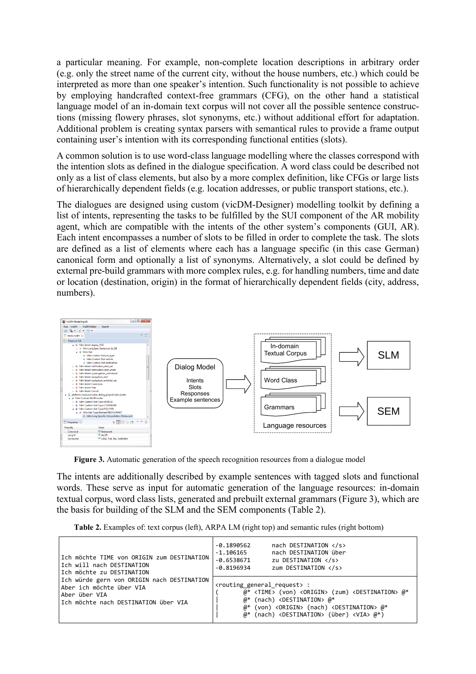a particular meaning. For example, non-complete location descriptions in arbitrary order (e.g. only the street name of the current city, without the house numbers, etc.) which could be interpreted as more than one speaker's intention. Such functionality is not possible to achieve by employing handcrafted context-free grammars (CFG), on the other hand a statistical language model of an in-domain text corpus will not cover all the possible sentence constructions (missing flowery phrases, slot synonyms, etc.) without additional effort for adaptation. Additional problem is creating syntax parsers with semantical rules to provide a frame output containing user's intention with its corresponding functional entities (slots).

A common solution is to use word-class language modelling where the classes correspond with the intention slots as defined in the dialogue specification. A word class could be described not only as a list of class elements, but also by a more complex definition, like CFGs or large lists of hierarchically dependent fields (e.g. location addresses, or public transport stations, etc.).

The dialogues are designed using custom (vicDM-Designer) modelling toolkit by defining a list of intents, representing the tasks to be fulfilled by the SUI component of the AR mobility agent, which are compatible with the intents of the other system's components (GUI, AR). Each intent encompasses a number of slots to be filled in order to complete the task. The slots are defined as a list of elements where each has a language specific (in this case German) canonical form and optionally a list of synonyms. Alternatively, a slot could be defined by external pre-build grammars with more complex rules, e.g. for handling numbers, time and date or location (destination, origin) in the format of hierarchically dependent fields (city, address, numbers).



Figure 3. Automatic generation of the speech recognition resources from a dialogue model

The intents are additionally described by example sentences with tagged slots and functional words. These serve as input for automatic generation of the language resources: in-domain textual corpus, word class lists, generated and prebuilt external grammars (Figure 3), which are the basis for building of the SLM and the SEM components (Table 2).

**Table 2.** Examples of: text corpus (left), ARPA LM (right top) and semantic rules (right bottom)

| Ich möchte TIME von ORIGIN zum DESTINATION<br>lIch will nach DESTINATION<br>Ich möchte zu DESTINATION                            | nach DESTINATION<br>-0.1890562<br>nach DESTINATION über<br>$-1.106165$<br>$-0.6538671$<br>zu DESTINATION<br>zum DESTINATION<br>$-0.8196934$                                                                                                                                                                                                                                                |
|----------------------------------------------------------------------------------------------------------------------------------|--------------------------------------------------------------------------------------------------------------------------------------------------------------------------------------------------------------------------------------------------------------------------------------------------------------------------------------------------------------------------------------------|
| Ich würde gern von ORIGIN nach DESTINATION<br>Aber ich möchte über VIA<br>Aber über VIA<br>lIch möchte nach DESTINATION über VIA | <routing general="" request="">:<br/><math>@*</math> <time> (von) <origin> (zum) <destination> <math>@*</math><br/>(nach) <destination> @*<br/><math>@*</math> (von) <origin> (nach) <destination> <math>@*</math><br/><math>@*</math> (nach) <destination> (über) <via> <math>@*</math>)</via></destination></destination></origin></destination></destination></origin></time></routing> |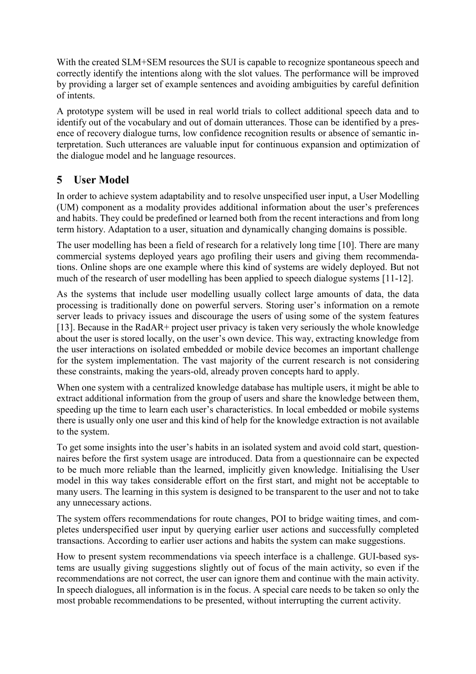With the created SLM+SEM resources the SUI is capable to recognize spontaneous speech and correctly identify the intentions along with the slot values. The performance will be improved by providing a larger set of example sentences and avoiding ambiguities by careful definition of intents.

A prototype system will be used in real world trials to collect additional speech data and to identify out of the vocabulary and out of domain utterances. Those can be identified by a presence of recovery dialogue turns, low confidence recognition results or absence of semantic interpretation. Such utterances are valuable input for continuous expansion and optimization of the dialogue model and he language resources.

## **5 User Model**

In order to achieve system adaptability and to resolve unspecified user input, a User Modelling (UM) component as a modality provides additional information about the user's preferences and habits. They could be predefined or learned both from the recent interactions and from long term history. Adaptation to a user, situation and dynamically changing domains is possible.

The user modelling has been a field of research for a relatively long time [10]. There are many commercial systems deployed years ago profiling their users and giving them recommendations. Online shops are one example where this kind of systems are widely deployed. But not much of the research of user modelling has been applied to speech dialogue systems [11-12].

As the systems that include user modelling usually collect large amounts of data, the data processing is traditionally done on powerful servers. Storing user's information on a remote server leads to privacy issues and discourage the users of using some of the system features [13]. Because in the RadAR+ project user privacy is taken very seriously the whole knowledge about the user is stored locally, on the user's own device. This way, extracting knowledge from the user interactions on isolated embedded or mobile device becomes an important challenge for the system implementation. The vast majority of the current research is not considering these constraints, making the years-old, already proven concepts hard to apply.

When one system with a centralized knowledge database has multiple users, it might be able to extract additional information from the group of users and share the knowledge between them, speeding up the time to learn each user's characteristics. In local embedded or mobile systems there is usually only one user and this kind of help for the knowledge extraction is not available to the system.

To get some insights into the user's habits in an isolated system and avoid cold start, questionnaires before the first system usage are introduced. Data from a questionnaire can be expected to be much more reliable than the learned, implicitly given knowledge. Initialising the User model in this way takes considerable effort on the first start, and might not be acceptable to many users. The learning in this system is designed to be transparent to the user and not to take any unnecessary actions.

The system offers recommendations for route changes, POI to bridge waiting times, and completes underspecified user input by querying earlier user actions and successfully completed transactions. According to earlier user actions and habits the system can make suggestions.

How to present system recommendations via speech interface is a challenge. GUI-based systems are usually giving suggestions slightly out of focus of the main activity, so even if the recommendations are not correct, the user can ignore them and continue with the main activity. In speech dialogues, all information is in the focus. A special care needs to be taken so only the most probable recommendations to be presented, without interrupting the current activity.